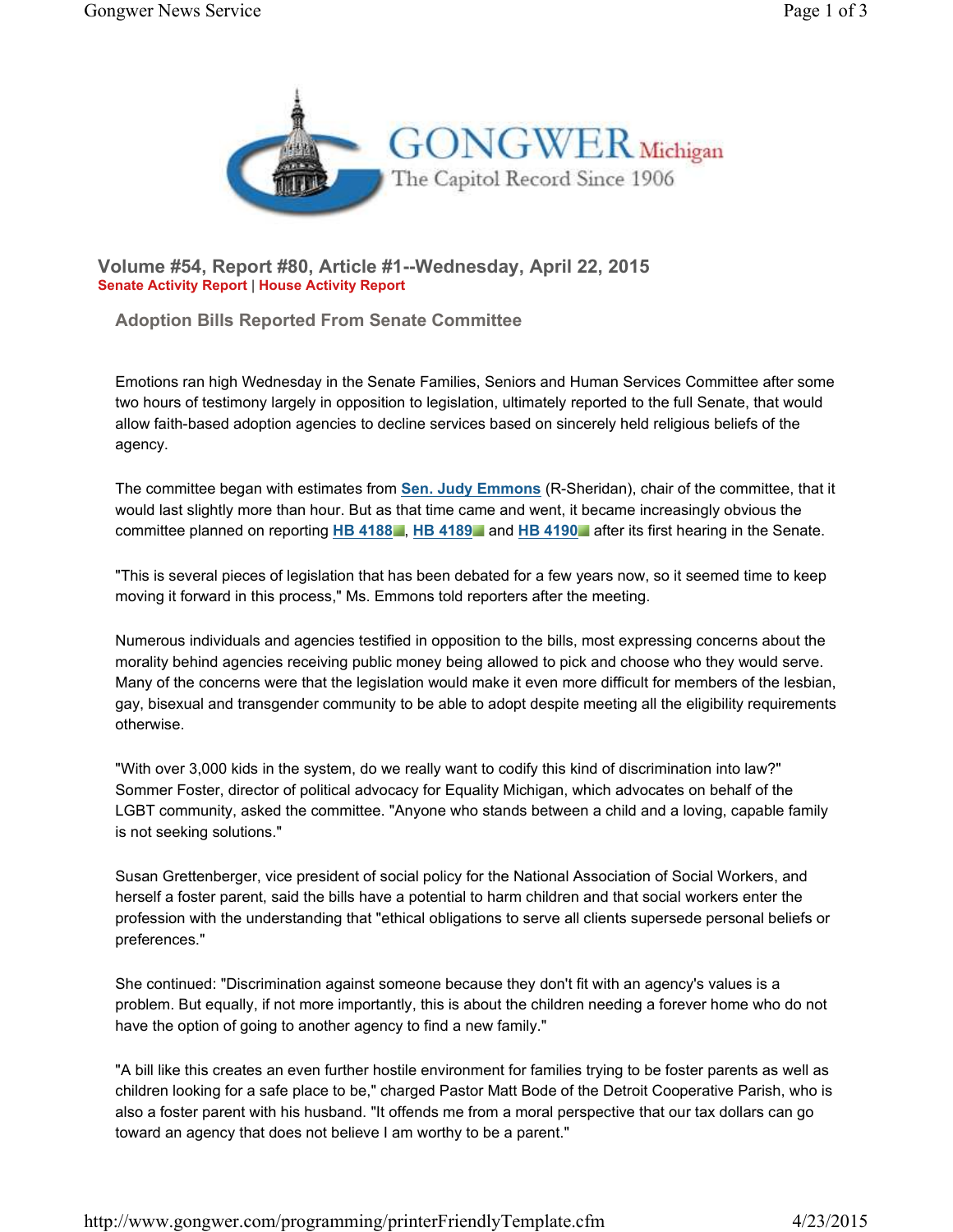

**Volume #54, Report #80, Article #1--Wednesday, April 22, 2015 Senate Activity Report | House Activity Report**

**Adoption Bills Reported From Senate Committee**

Emotions ran high Wednesday in the Senate Families, Seniors and Human Services Committee after some two hours of testimony largely in opposition to legislation, ultimately reported to the full Senate, that would allow faith-based adoption agencies to decline services based on sincerely held religious beliefs of the agency.

The committee began with estimates from **Sen. Judy Emmons** (R-Sheridan), chair of the committee, that it would last slightly more than hour. But as that time came and went, it became increasingly obvious the committee planned on reporting **HB 4188** , **HB 4189** and **HB 4190** after its first hearing in the Senate.

"This is several pieces of legislation that has been debated for a few years now, so it seemed time to keep moving it forward in this process," Ms. Emmons told reporters after the meeting.

Numerous individuals and agencies testified in opposition to the bills, most expressing concerns about the morality behind agencies receiving public money being allowed to pick and choose who they would serve. Many of the concerns were that the legislation would make it even more difficult for members of the lesbian, gay, bisexual and transgender community to be able to adopt despite meeting all the eligibility requirements otherwise.

"With over 3,000 kids in the system, do we really want to codify this kind of discrimination into law?" Sommer Foster, director of political advocacy for Equality Michigan, which advocates on behalf of the LGBT community, asked the committee. "Anyone who stands between a child and a loving, capable family is not seeking solutions."

Susan Grettenberger, vice president of social policy for the National Association of Social Workers, and herself a foster parent, said the bills have a potential to harm children and that social workers enter the profession with the understanding that "ethical obligations to serve all clients supersede personal beliefs or preferences."

She continued: "Discrimination against someone because they don't fit with an agency's values is a problem. But equally, if not more importantly, this is about the children needing a forever home who do not have the option of going to another agency to find a new family."

"A bill like this creates an even further hostile environment for families trying to be foster parents as well as children looking for a safe place to be," charged Pastor Matt Bode of the Detroit Cooperative Parish, who is also a foster parent with his husband. "It offends me from a moral perspective that our tax dollars can go toward an agency that does not believe I am worthy to be a parent."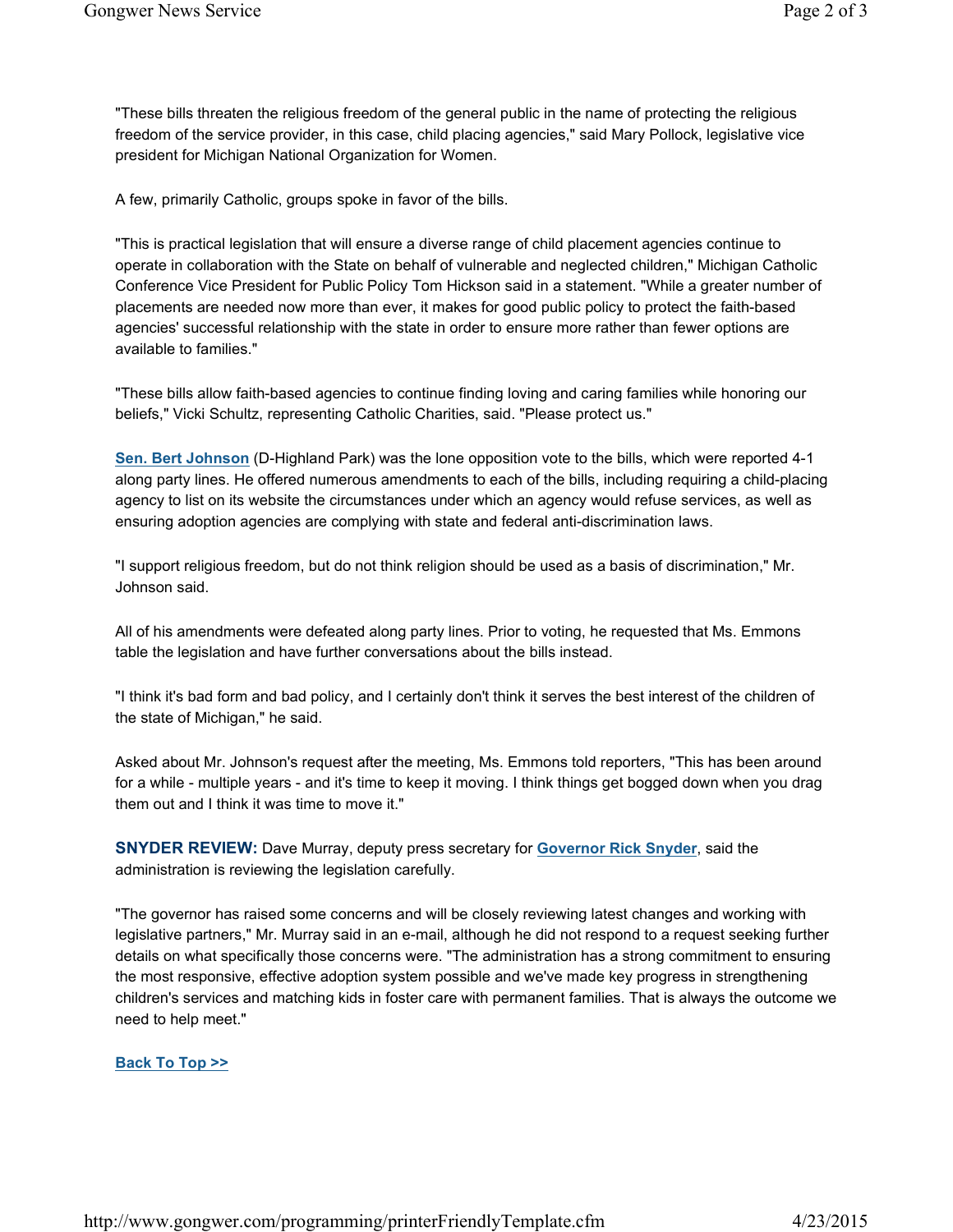"These bills threaten the religious freedom of the general public in the name of protecting the religious freedom of the service provider, in this case, child placing agencies," said Mary Pollock, legislative vice president for Michigan National Organization for Women.

A few, primarily Catholic, groups spoke in favor of the bills.

"This is practical legislation that will ensure a diverse range of child placement agencies continue to operate in collaboration with the State on behalf of vulnerable and neglected children," Michigan Catholic Conference Vice President for Public Policy Tom Hickson said in a statement. "While a greater number of placements are needed now more than ever, it makes for good public policy to protect the faith-based agencies' successful relationship with the state in order to ensure more rather than fewer options are available to families."

"These bills allow faith-based agencies to continue finding loving and caring families while honoring our beliefs," Vicki Schultz, representing Catholic Charities, said. "Please protect us."

**Sen. Bert Johnson** (D-Highland Park) was the lone opposition vote to the bills, which were reported 4-1 along party lines. He offered numerous amendments to each of the bills, including requiring a child-placing agency to list on its website the circumstances under which an agency would refuse services, as well as ensuring adoption agencies are complying with state and federal anti-discrimination laws.

"I support religious freedom, but do not think religion should be used as a basis of discrimination," Mr. Johnson said.

All of his amendments were defeated along party lines. Prior to voting, he requested that Ms. Emmons table the legislation and have further conversations about the bills instead.

"I think it's bad form and bad policy, and I certainly don't think it serves the best interest of the children of the state of Michigan," he said.

Asked about Mr. Johnson's request after the meeting, Ms. Emmons told reporters, "This has been around for a while - multiple years - and it's time to keep it moving. I think things get bogged down when you drag them out and I think it was time to move it."

**SNYDER REVIEW:** Dave Murray, deputy press secretary for **Governor Rick Snyder**, said the administration is reviewing the legislation carefully.

"The governor has raised some concerns and will be closely reviewing latest changes and working with legislative partners," Mr. Murray said in an e-mail, although he did not respond to a request seeking further details on what specifically those concerns were. "The administration has a strong commitment to ensuring the most responsive, effective adoption system possible and we've made key progress in strengthening children's services and matching kids in foster care with permanent families. That is always the outcome we need to help meet."

## **Back To Top >>**